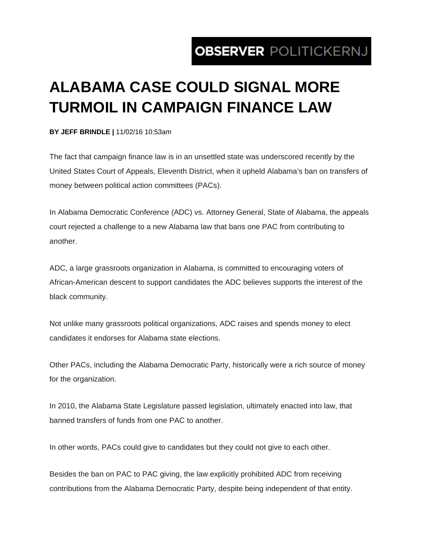## OBSERVER POLITICKERNJ

## **ALABAMA CASE COULD SIGNAL MORE TURMOIL IN CAMPAIGN FINANCE LAW**

## **BY JEFF BRINDLE |** 11/02/16 10:53am

The fact that campaign finance law is in an unsettled state was underscored recently by the United States Court of Appeals, Eleventh District, when it upheld Alabama's ban on transfers of money between political action committees (PACs).

In Alabama Democratic Conference (ADC) vs. Attorney General, State of Alabama, the appeals court rejected a challenge to a new Alabama law that bans one PAC from contributing to another.

ADC, a large grassroots organization in Alabama, is committed to encouraging voters of African-American descent to support candidates the ADC believes supports the interest of the black community.

Not unlike many grassroots political organizations, ADC raises and spends money to elect candidates it endorses for Alabama state elections.

Other PACs, including the Alabama Democratic Party, historically were a rich source of money for the organization.

In 2010, the Alabama State Legislature passed legislation, ultimately enacted into law, that banned transfers of funds from one PAC to another.

In other words, PACs could give to candidates but they could not give to each other.

Besides the ban on PAC to PAC giving, the law explicitly prohibited ADC from receiving contributions from the Alabama Democratic Party, despite being independent of that entity.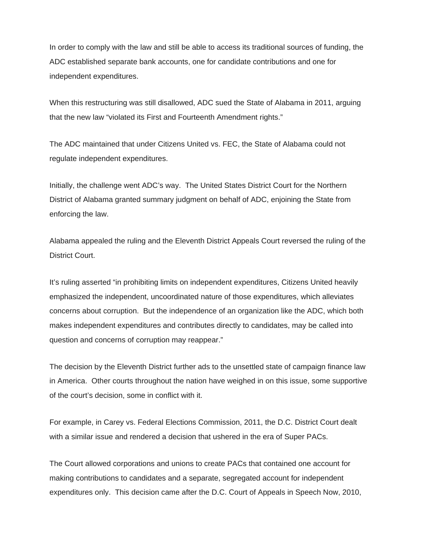In order to comply with the law and still be able to access its traditional sources of funding, the ADC established separate bank accounts, one for candidate contributions and one for independent expenditures.

When this restructuring was still disallowed, ADC sued the State of Alabama in 2011, arguing that the new law "violated its First and Fourteenth Amendment rights."

The ADC maintained that under Citizens United vs. FEC, the State of Alabama could not regulate independent expenditures.

Initially, the challenge went ADC's way. The United States District Court for the Northern District of Alabama granted summary judgment on behalf of ADC, enjoining the State from enforcing the law.

Alabama appealed the ruling and the Eleventh District Appeals Court reversed the ruling of the District Court.

It's ruling asserted "in prohibiting limits on independent expenditures, Citizens United heavily emphasized the independent, uncoordinated nature of those expenditures, which alleviates concerns about corruption. But the independence of an organization like the ADC, which both makes independent expenditures and contributes directly to candidates, may be called into question and concerns of corruption may reappear."

The decision by the Eleventh District further ads to the unsettled state of campaign finance law in America. Other courts throughout the nation have weighed in on this issue, some supportive of the court's decision, some in conflict with it.

For example, in Carey vs. Federal Elections Commission, 2011, the D.C. District Court dealt with a similar issue and rendered a decision that ushered in the era of Super PACs.

The Court allowed corporations and unions to create PACs that contained one account for making contributions to candidates and a separate, segregated account for independent expenditures only. This decision came after the D.C. Court of Appeals in Speech Now, 2010,